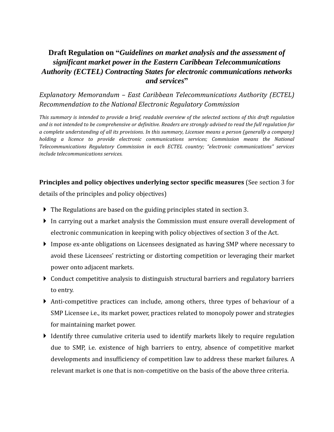# **Draft Regulation on "***Guidelines on market analysis and the assessment of significant market power in the Eastern Caribbean Telecommunications Authority (ECTEL) Contracting States for electronic communications networks and services***"**

## *Explanatory Memorandum – East Caribbean Telecommunications Authority (ECTEL) Recommendation to the National Electronic Regulatory Commission*

*This summary is intended to provide a brief, readable overview of the selected sections of this draft regulation and is not intended to be comprehensive or definitive. Readers are strongly advised to read the full regulation for a complete understanding of all its provisions. In this summary, Licensee means a person (generally a company)*  holding a licence to provide electronic communications services; Commission means the National *Telecommunications Regulatory Commission in each ECTEL country; "electronic communications" services include telecommunications services.* 

#### **Principles and policy objectives underlying sector specific measures** (See section 3 for

details of the principles and policy objectives)

- The Regulations are based on the guiding principles stated in section 3.
- In carrying out a market analysis the Commission must ensure overall development of electronic communication in keeping with policy objectives of section 3 of the Act.
- Impose ex-ante obligations on Licensees designated as having SMP where necessary to avoid these Licensees' restricting or distorting competition or leveraging their market power onto adjacent markets.
- Conduct competitive analysis to distinguish structural barriers and regulatory barriers to entry.
- Anti-competitive practices can include, among others, three types of behaviour of a SMP Licensee i.e., its market power, practices related to monopoly power and strategies for maintaining market power.
- $\blacktriangleright$  Identify three cumulative criteria used to identify markets likely to require regulation due to SMP, i.e. existence of high barriers to entry, absence of competitive market developments and insufficiency of competition law to address these market failures. A relevant market is one that is non-competitive on the basis of the above three criteria.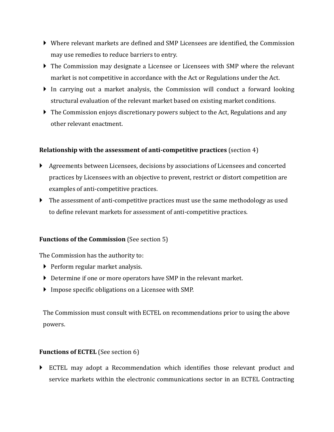- Where relevant markets are defined and SMP Licensees are identified, the Commission may use remedies to reduce barriers to entry.
- ▶ The Commission may designate a Licensee or Licensees with SMP where the relevant market is not competitive in accordance with the Act or Regulations under the Act.
- In carrying out a market analysis, the Commission will conduct a forward looking structural evaluation of the relevant market based on existing market conditions.
- ▶ The Commission enjoys discretionary powers subject to the Act, Regulations and any other relevant enactment.

### **Relationship with the assessment of anti-competitive practices** (section 4)

- Agreements between Licensees, decisions by associations of Licensees and concerted practices by Licensees with an objective to prevent, restrict or distort competition are examples of anti-competitive practices.
- The assessment of anti-competitive practices must use the same methodology as used to define relevant markets for assessment of anti-competitive practices.

#### **Functions of the Commission** (See section 5)

The Commission has the authority to:

- $\triangleright$  Perform regular market analysis.
- Determine if one or more operators have SMP in the relevant market.
- Impose specific obligations on a Licensee with SMP.

The Commission must consult with ECTEL on recommendations prior to using the above powers.

## **Functions of ECTEL** (See section 6)

 ECTEL may adopt a Recommendation which identifies those relevant product and service markets within the electronic communications sector in an ECTEL Contracting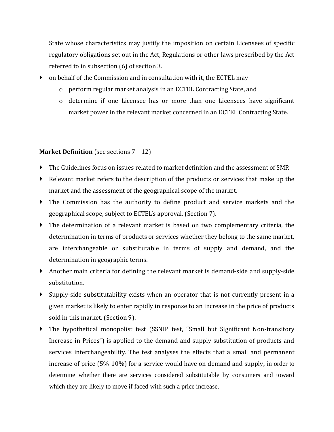State whose characteristics may justify the imposition on certain Licensees of specific regulatory obligations set out in the Act, Regulations or other laws prescribed by the Act referred to in subsection (6) of section 3.

- on behalf of the Commission and in consultation with it, the ECTEL may
	- o perform regular market analysis in an ECTEL Contracting State, and
	- $\circ$  determine if one Licensee has or more than one Licensees have significant market power in the relevant market concerned in an ECTEL Contracting State.

#### **Market Definition** (see sections 7 – 12)

- The Guidelines focus on issues related to market definition and the assessment of SMP.
- Relevant market refers to the description of the products or services that make up the market and the assessment of the geographical scope of the market.
- The Commission has the authority to define product and service markets and the geographical scope, subject to ECTEL's approval. (Section 7).
- The determination of a relevant market is based on two complementary criteria, the determination in terms of products or services whether they belong to the same market, are interchangeable or substitutable in terms of supply and demand, and the determination in geographic terms.
- Another main criteria for defining the relevant market is demand-side and supply-side substitution.
- Supply-side substitutability exists when an operator that is not currently present in a given market is likely to enter rapidly in response to an increase in the price of products sold in this market. (Section 9).
- The hypothetical monopolist test (SSNIP test, "Small but Significant Non-transitory Increase in Prices") is applied to the demand and supply substitution of products and services interchangeability. The test analyses the effects that a small and permanent increase of price (5%-10%) for a service would have on demand and supply, in order to determine whether there are services considered substitutable by consumers and toward which they are likely to move if faced with such a price increase.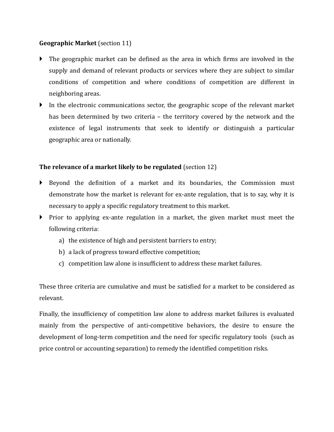### **Geographic Market** (section 11)

- The geographic market can be defined as the area in which firms are involved in the supply and demand of relevant products or services where they are subject to similar conditions of competition and where conditions of competition are different in neighboring areas.
- In the electronic communications sector, the geographic scope of the relevant market has been determined by two criteria – the territory covered by the network and the existence of legal instruments that seek to identify or distinguish a particular geographic area or nationally.

## **The relevance of a market likely to be regulated** (section 12)

- Beyond the definition of a market and its boundaries, the Commission must demonstrate how the market is relevant for ex-ante regulation, that is to say, why it is necessary to apply a specific regulatory treatment to this market.
- Prior to applying ex-ante regulation in a market, the given market must meet the following criteria:
	- a) the existence of high and persistent barriers to entry;
	- b) a lack of progress toward effective competition;
	- c) competition law alone is insufficient to address these market failures.

These three criteria are cumulative and must be satisfied for a market to be considered as relevant.

Finally, the insufficiency of competition law alone to address market failures is evaluated mainly from the perspective of anti-competitive behaviors, the desire to ensure the development of long-term competition and the need for specific regulatory tools (such as price control or accounting separation) to remedy the identified competition risks.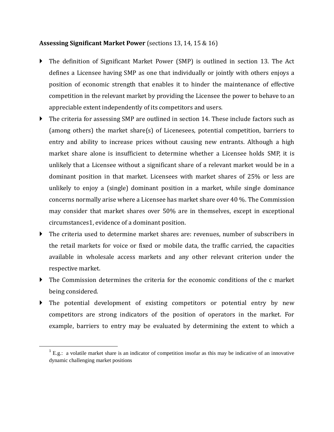#### **Assessing Significant Market Power** (sections 13, 14, 15 & 16)

- The definition of Significant Market Power (SMP) is outlined in section 13. The Act defines a Licensee having SMP as one that individually or jointly with others enjoys a position of economic strength that enables it to hinder the maintenance of effective competition in the relevant market by providing the Licensee the power to behave to an appreciable extent independently of its competitors and users.
- The criteria for assessing SMP are outlined in section 14. These include factors such as (among others) the market share(s) of Licenesees, potential competition, barriers to entry and ability to increase prices without causing new entrants. Although a high market share alone is insufficient to determine whether a Licensee holds SMP, it is unlikely that a Licensee without a significant share of a relevant market would be in a dominant position in that market. Licensees with market shares of 25% or less are unlikely to enjoy a (single) dominant position in a market, while single dominance concerns normally arise where a Licensee has market share over 40 %. The Commission may consider that market shares over 50% are in themselves, except in exceptional circumstances1, evidence of a dominant position.
- The criteria used to determine market shares are: revenues, number of subscribers in the retail markets for voice or fixed or mobile data, the traffic carried, the capacities available in wholesale access markets and any other relevant criterion under the respective market.
- The Commission determines the criteria for the economic conditions of the c market being considered.
- The potential development of existing competitors or potential entry by new competitors are strong indicators of the position of operators in the market. For example, barriers to entry may be evaluated by determining the extent to which a

 $\overline{\phantom{a}}$ 

 $1$  E.g.: a volatile market share is an indicator of competition insofar as this may be indicative of an innovative dynamic challenging market positions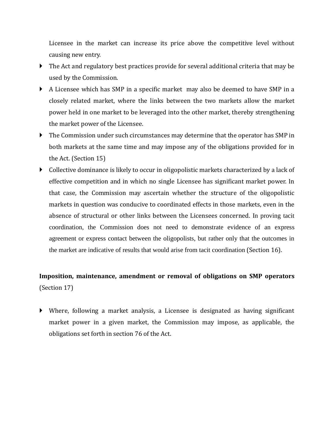Licensee in the market can increase its price above the competitive level without causing new entry.

- The Act and regulatory best practices provide for several additional criteria that may be used by the Commission.
- A Licensee which has SMP in a specific market may also be deemed to have SMP in a closely related market, where the links between the two markets allow the market power held in one market to be leveraged into the other market, thereby strengthening the market power of the Licensee.
- The Commission under such circumstances may determine that the operator has SMP in both markets at the same time and may impose any of the obligations provided for in the Act. (Section 15)
- Collective dominance is likely to occur in oligopolistic markets characterized by a lack of effective competition and in which no single Licensee has significant market power. In that case, the Commission may ascertain whether the structure of the oligopolistic markets in question was conducive to coordinated effects in those markets, even in the absence of structural or other links between the Licensees concerned. In proving tacit coordination, the Commission does not need to demonstrate evidence of an express agreement or express contact between the oligopolists, but rather only that the outcomes in the market are indicative of results that would arise from tacit coordination (Section 16).

# **Imposition, maintenance, amendment or removal of obligations on SMP operators** (Section 17)

 Where, following a market analysis, a Licensee is designated as having significant market power in a given market, the Commission may impose, as applicable, the obligations set forth in section 76 of the Act.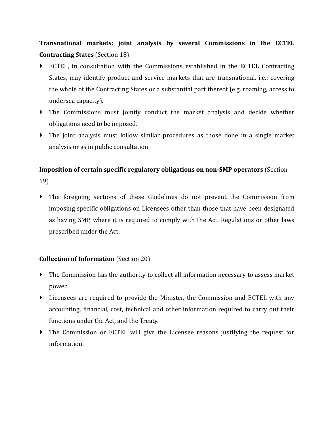**Transnational markets: joint analysis by several Commissions in the ECTEL Contracting States** (Section 18)

- ECTEL, in consultation with the Commissions established in the ECTEL Contracting States, may identify product and service markets that are transnational, i.e.: covering the whole of the Contracting States or a substantial part thereof (e.g. roaming, access to undersea capacity).
- The Commissions must jointly conduct the market analysis and decide whether obligations need to be imposed.
- The joint analysis must follow similar procedures as those done in a single market analysis or as in public consultation.

# **Imposition of certain specific regulatory obligations on non-SMP operators** (Section 19)

 The foregoing sections of these Guidelines do not prevent the Commission from imposing specific obligations on Licensees other than those that have been designated as having SMP, where it is required to comply with the Act, Regulations or other laws prescribed under the Act.

## **Collection of Information** (Section 20)

- The Commission has the authority to collect all information necessary to assess market power.
- Licensees are required to provide the Minister, the Commission and ECTEL with any accounting, financial, cost, technical and other information required to carry out their functions under the Act, and the Treaty.
- The Commission or ECTEL will give the Licensee reasons justifying the request for information.